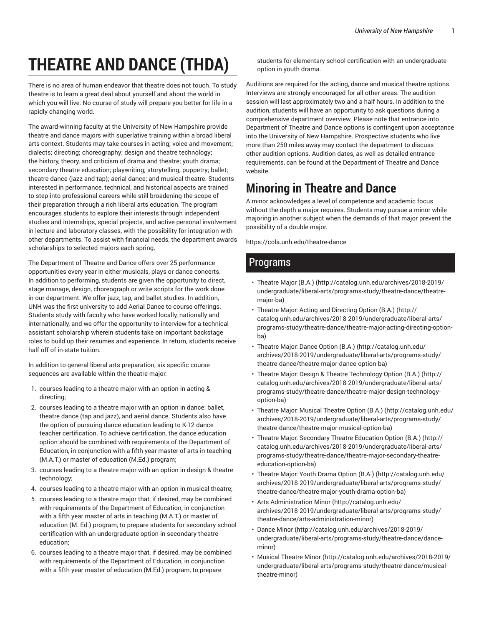# **THEATRE AND DANCE (THDA)**

There is no area of human endeavor that theatre does not touch. To study theatre is to learn a great deal about yourself and about the world in which you will live. No course of study will prepare you better for life in a rapidly changing world.

The award-winning faculty at the University of New Hampshire provide theatre and dance majors with superlative training within a broad liberal arts context. Students may take courses in acting; voice and movement; dialects; directing; choreography; design and theatre technology; the history, theory, and criticism of drama and theatre; youth drama; secondary theatre education; playwriting; storytelling; puppetry; ballet; theatre dance (jazz and tap); aerial dance; and musical theatre. Students interested in performance, technical, and historical aspects are trained to step into professional careers while still broadening the scope of their preparation through a rich liberal arts education. The program encourages students to explore their interests through independent studies and internships, special projects, and active personal involvement in lecture and laboratory classes, with the possibility for integration with other departments. To assist with financial needs, the department awards scholarships to selected majors each spring.

The Department of Theatre and Dance offers over 25 performance opportunities every year in either musicals, plays or dance concerts. In addition to performing, students are given the opportunity to direct, stage manage, design, choreograph or write scripts for the work done in our department. We offer jazz, tap, and ballet studies. In addition, UNH was the first university to add Aerial Dance to course offerings. Students study with faculty who have worked locally, nationally and internationally, and we offer the opportunity to interview for a technical assistant scholarship wherein students take on important backstage roles to build up their resumes and experience. In return, students receive half off of in-state tuition.

In addition to general liberal arts preparation, six specific course sequences are available within the theatre major:

- 1. courses leading to a theatre major with an option in acting & directing;
- 2. courses leading to a theatre major with an option in dance: ballet, theatre dance (tap and jazz), and aerial dance. Students also have the option of pursuing dance education leading to K-12 dance teacher certification. To achieve certification, the dance education option should be combined with requirements of the Department of Education, in conjunction with a fifth year master of arts in teaching (M.A.T.) or master of education (M.Ed.) program;
- 3. courses leading to a theatre major with an option in design & theatre technology;
- 4. courses leading to a theatre major with an option in musical theatre;
- 5. courses leading to a theatre major that, if desired, may be combined with requirements of the Department of Education, in conjunction with a fifth year master of arts in teaching (M.A.T.) or master of education (M. Ed.) program, to prepare students for secondary school certification with an undergraduate option in secondary theatre education;
- 6. courses leading to a theatre major that, if desired, may be combined with requirements of the Department of Education, in conjunction with a fifth year master of education (M.Ed.) program, to prepare

students for elementary school certification with an undergraduate option in youth drama.

Auditions are required for the acting, dance and musical theatre options. Interviews are strongly encouraged for all other areas. The audition session will last approximately two and a half hours. In addition to the audition, students will have an opportunity to ask questions during a comprehensive department overview. Please note that entrance into Department of Theatre and Dance options is contingent upon acceptance into the University of New Hampshire. Prospective students who live more than 250 miles away may contact the department to discuss other audition options. Audition dates, as well as detailed entrance requirements, can be found at the Department of Theatre and Dance website.

## **Minoring in Theatre and Dance**

A minor acknowledges a level of competence and academic focus without the depth a major requires. Students may pursue a minor while majoring in another subject when the demands of that major prevent the possibility of a double major.

https://cola.unh.edu/theatre-dance

### Programs

- Theatre Major (B.A.) (http://catalog.unh.edu/archives/2018-2019/ undergraduate/liberal-arts/programs-study/theatre-dance/theatremajor-ba)
- Theatre Major: Acting and Directing Option (B.A.) (http:// catalog.unh.edu/archives/2018-2019/undergraduate/liberal-arts/ programs-study/theatre-dance/theatre-major-acting-directing-optionba)
- Theatre Major: Dance Option (B.A.) (http://catalog.unh.edu/ archives/2018-2019/undergraduate/liberal-arts/programs-study/ theatre-dance/theatre-major-dance-option-ba)
- Theatre Major: Design & Theatre Technology Option (B.A.) (http:// catalog.unh.edu/archives/2018-2019/undergraduate/liberal-arts/ programs-study/theatre-dance/theatre-major-design-technologyoption-ba)
- Theatre Major: Musical Theatre Option (B.A.) (http://catalog.unh.edu/ archives/2018-2019/undergraduate/liberal-arts/programs-study/ theatre-dance/theatre-major-musical-option-ba)
- Theatre Major: Secondary Theatre Education Option (B.A.) (http:// catalog.unh.edu/archives/2018-2019/undergraduate/liberal-arts/ programs-study/theatre-dance/theatre-major-secondary-theatreeducation-option-ba)
- Theatre Major: Youth Drama Option (B.A.) (http://catalog.unh.edu/ archives/2018-2019/undergraduate/liberal-arts/programs-study/ theatre-dance/theatre-major-youth-drama-option-ba)
- Arts Administration Minor (http://catalog.unh.edu/ archives/2018-2019/undergraduate/liberal-arts/programs-study/ theatre-dance/arts-administration-minor)
- Dance Minor (http://catalog.unh.edu/archives/2018-2019/ undergraduate/liberal-arts/programs-study/theatre-dance/danceminor)
- Musical Theatre Minor (http://catalog.unh.edu/archives/2018-2019/ undergraduate/liberal-arts/programs-study/theatre-dance/musicaltheatre-minor)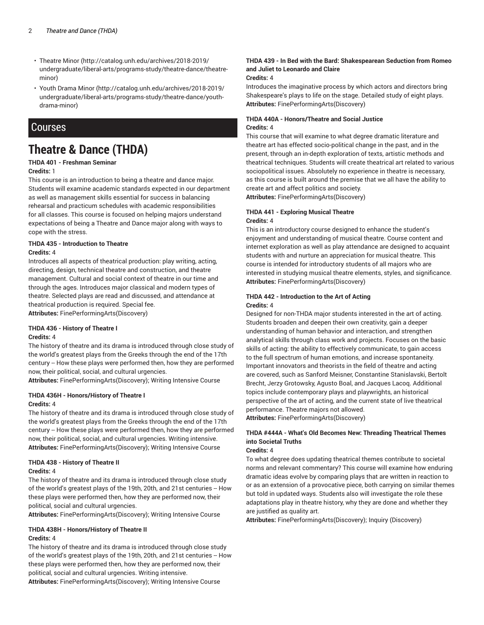- Theatre Minor (http://catalog.unh.edu/archives/2018-2019/ undergraduate/liberal-arts/programs-study/theatre-dance/theatreminor)
- Youth Drama Minor (http://catalog.unh.edu/archives/2018-2019/ undergraduate/liberal-arts/programs-study/theatre-dance/youthdrama-minor)

### **Courses**

## **Theatre & Dance (THDA)**

### **THDA 401 - Freshman Seminar**

#### **Credits:** 1

This course is an introduction to being a theatre and dance major. Students will examine academic standards expected in our department as well as management skills essential for success in balancing rehearsal and practicum schedules with academic responsibilities for all classes. This course is focused on helping majors understand expectations of being a Theatre and Dance major along with ways to cope with the stress.

#### **THDA 435 - Introduction to Theatre Credits:** 4

Introduces all aspects of theatrical production: play writing, acting, directing, design, technical theatre and construction, and theatre management. Cultural and social context of theatre in our time and through the ages. Introduces major classical and modern types of theatre. Selected plays are read and discussed, and attendance at theatrical production is required. Special fee. **Attributes:** FinePerformingArts(Discovery)

#### **THDA 436 - History of Theatre I Credits:** 4

The history of theatre and its drama is introduced through close study of the world's greatest plays from the Greeks through the end of the 17th century -- How these plays were performed then, how they are performed now, their political, social, and cultural urgencies.

**Attributes:** FinePerformingArts(Discovery); Writing Intensive Course

#### **THDA 436H - Honors/History of Theatre I Credits:** 4

The history of theatre and its drama is introduced through close study of the world's greatest plays from the Greeks through the end of the 17th century -- How these plays were performed then, how they are performed now, their political, social, and cultural urgencies. Writing intensive. **Attributes:** FinePerformingArts(Discovery); Writing Intensive Course

#### **THDA 438 - History of Theatre II**

#### **Credits:** 4

The history of theatre and its drama is introduced through close study of the world's greatest plays of the 19th, 20th, and 21st centuries -- How these plays were performed then, how they are performed now, their political, social and cultural urgencies.

**Attributes:** FinePerformingArts(Discovery); Writing Intensive Course

#### **THDA 438H - Honors/History of Theatre II Credits:** 4

The history of theatre and its drama is introduced through close study of the world's greatest plays of the 19th, 20th, and 21st centuries -- How these plays were performed then, how they are performed now, their political, social and cultural urgencies. Writing intensive.

#### **Attributes:** FinePerformingArts(Discovery); Writing Intensive Course

#### **THDA 439 - In Bed with the Bard: Shakespearean Seduction from Romeo and Juliet to Leonardo and Claire**

#### **Credits:** 4

Introduces the imaginative process by which actors and directors bring Shakespeare's plays to life on the stage. Detailed study of eight plays. **Attributes:** FinePerformingArts(Discovery)

#### **THDA 440A - Honors/Theatre and Social Justice Credits:** 4

This course that will examine to what degree dramatic literature and theatre art has effected socio-political change in the past, and in the present, through an in-depth exploration of texts, artistic methods and theatrical techniques. Students will create theatrical art related to various sociopolitical issues. Absolutely no experience in theatre is necessary, as this course is built around the premise that we all have the ability to create art and affect politics and society.

**Attributes:** FinePerformingArts(Discovery)

#### **THDA 441 - Exploring Musical Theatre Credits:** 4

This is an introductory course designed to enhance the student's enjoyment and understanding of musical theatre. Course content and internet exploration as well as play attendance are designed to acquaint students with and nurture an appreciation for musical theatre. This course is intended for introductory students of all majors who are interested in studying musical theatre elements, styles, and significance. **Attributes:** FinePerformingArts(Discovery)

#### **THDA 442 - Introduction to the Art of Acting Credits:** 4

Designed for non-THDA major students interested in the art of acting. Students broaden and deepen their own creativity, gain a deeper understanding of human behavior and interaction, and strengthen analytical skills through class work and projects. Focuses on the basic skills of acting: the ability to effectively communicate, to gain access to the full spectrum of human emotions, and increase spontaneity. Important innovators and theorists in the field of theatre and acting are covered, such as Sanford Meisner, Constantine Stanislavski, Bertolt Brecht, Jerzy Grotowsky, Agusto Boal, and Jacques Lacoq. Additional topics include contemporary plays and playwrights, an historical perspective of the art of acting, and the current state of live theatrical performance. Theatre majors not allowed.

**Attributes:** FinePerformingArts(Discovery)

### **THDA #444A - What's Old Becomes New: Threading Theatrical Themes into Societal Truths**

### **Credits:** 4

To what degree does updating theatrical themes contribute to societal norms and relevant commentary? This course will examine how enduring dramatic ideas evolve by comparing plays that are written in reaction to or as an extension of a provocative piece, both carrying on similar themes but told in updated ways. Students also will investigate the role these adaptations play in theatre history, why they are done and whether they are justified as quality art.

**Attributes:** FinePerformingArts(Discovery); Inquiry (Discovery)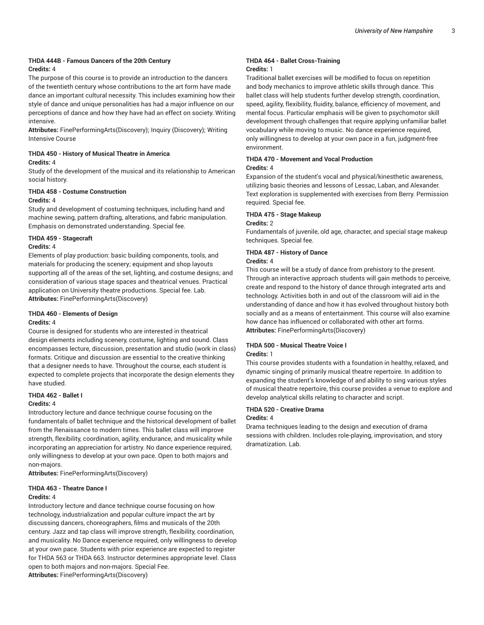#### **THDA 444B - Famous Dancers of the 20th Century Credits:** 4

The purpose of this course is to provide an introduction to the dancers of the twentieth century whose contributions to the art form have made dance an important cultural necessity. This includes examining how their style of dance and unique personalities has had a major influence on our perceptions of dance and how they have had an effect on society. Writing intensive.

**Attributes:** FinePerformingArts(Discovery); Inquiry (Discovery); Writing Intensive Course

#### **THDA 450 - History of Musical Theatre in America Credits:** 4

Study of the development of the musical and its relationship to American social history.

### **THDA 458 - Costume Construction**

#### **Credits:** 4

Study and development of costuming techniques, including hand and machine sewing, pattern drafting, alterations, and fabric manipulation. Emphasis on demonstrated understanding. Special fee.

#### **THDA 459 - Stagecraft**

#### **Credits:** 4

Elements of play production: basic building components, tools, and materials for producing the scenery; equipment and shop layouts supporting all of the areas of the set, lighting, and costume designs; and consideration of various stage spaces and theatrical venues. Practical application on University theatre productions. Special fee. Lab. **Attributes:** FinePerformingArts(Discovery)

### **THDA 460 - Elements of Design**

#### **Credits:** 4

Course is designed for students who are interested in theatrical design elements including scenery, costume, lighting and sound. Class encompasses lecture, discussion, presentation and studio (work in class) formats. Critique and discussion are essential to the creative thinking that a designer needs to have. Throughout the course, each student is expected to complete projects that incorporate the design elements they have studied.

#### **THDA 462 - Ballet I**

#### **Credits:** 4

Introductory lecture and dance technique course focusing on the fundamentals of ballet technique and the historical development of ballet from the Renaissance to modern times. This ballet class will improve strength, flexibility, coordination, agility, endurance, and musicality while incorporating an appreciation for artistry. No dance experience required, only willingness to develop at your own pace. Open to both majors and non-majors.

**Attributes:** FinePerformingArts(Discovery)

#### **THDA 463 - Theatre Dance I**

#### **Credits:** 4

Introductory lecture and dance technique course focusing on how technology, industrialization and popular culture impact the art by discussing dancers, choreographers, films and musicals of the 20th century. Jazz and tap class will improve strength, flexibility, coordination, and musicality. No Dance experience required, only willingness to develop at your own pace. Students with prior experience are expected to register for THDA 563 or THDA 663. Instructor determines appropriate level. Class open to both majors and non-majors. Special Fee.

**Attributes:** FinePerformingArts(Discovery)

#### **THDA 464 - Ballet Cross-Training Credits:** 1

Traditional ballet exercises will be modified to focus on repetition and body mechanics to improve athletic skills through dance. This ballet class will help students further develop strength, coordination, speed, agility, flexibility, fluidity, balance, efficiency of movement, and mental focus. Particular emphasis will be given to psychomotor skill development through challenges that require applying unfamiliar ballet vocabulary while moving to music. No dance experience required, only willingness to develop at your own pace in a fun, judgment-free environment.

### **THDA 470 - Movement and Vocal Production**

#### **Credits:** 4

Expansion of the student's vocal and physical/kinesthetic awareness, utilizing basic theories and lessons of Lessac, Laban, and Alexander. Text exploration is supplemented with exercises from Berry. Permission required. Special fee.

#### **THDA 475 - Stage Makeup**

#### **Credits:** 2

Fundamentals of juvenile, old age, character, and special stage makeup techniques. Special fee.

#### **THDA 487 - History of Dance**

#### **Credits:** 4

This course will be a study of dance from prehistory to the present. Through an interactive approach students will gain methods to perceive, create and respond to the history of dance through integrated arts and technology. Activities both in and out of the classroom will aid in the understanding of dance and how it has evolved throughout history both socially and as a means of entertainment. This course will also examine how dance has influenced or collaborated with other art forms. **Attributes:** FinePerformingArts(Discovery)

#### **THDA 500 - Musical Theatre Voice I Credits:** 1

This course provides students with a foundation in healthy, relaxed, and dynamic singing of primarily musical theatre repertoire. In addition to expanding the student's knowledge of and ability to sing various styles of musical theatre repertoire, this course provides a venue to explore and develop analytical skills relating to character and script.

#### **THDA 520 - Creative Drama Credits:** 4

Drama techniques leading to the design and execution of drama sessions with children. Includes role-playing, improvisation, and story dramatization. Lab.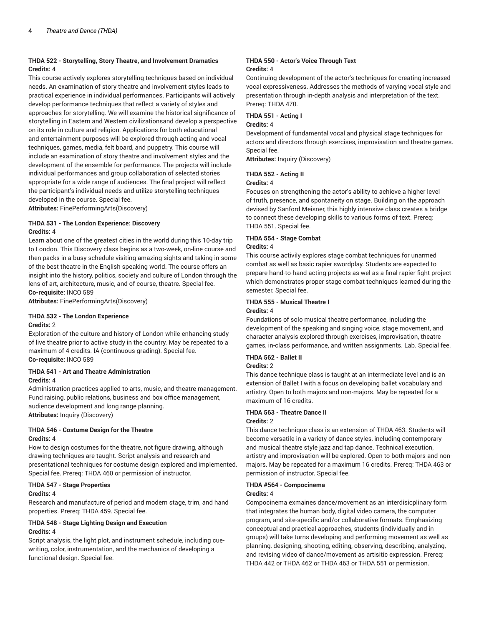#### **THDA 522 - Storytelling, Story Theatre, and Involvement Dramatics Credits:** 4

This course actively explores storytelling techniques based on individual needs. An examination of story theatre and involvement styles leads to practical experience in individual performances. Participants will actively develop performance techniques that reflect a variety of styles and approaches for storytelling. We will examine the historical significance of storytelling in Eastern and Western civilizationsand develop a perspective on its role in culture and religion. Applications for both educational and entertainment purposes will be explored through acting and vocal techniques, games, media, felt board, and puppetry. This course will include an examination of story theatre and involvement styles and the development of the ensemble for performance. The projects will include individual performances and group collaboration of selected stories appropriate for a wide range of audiences. The final project will reflect the participant's individual needs and utilize storytelling techniques developed in the course. Special fee.

**Attributes:** FinePerformingArts(Discovery)

#### **THDA 531 - The London Experience: Discovery Credits:** 4

Learn about one of the greatest cities in the world during this 10-day trip to London. This Discovery class begins as a two-week, on-line course and then packs in a busy schedule visiting amazing sights and taking in some of the best theatre in the English speaking world. The course offers an insight into the history, politics, society and culture of London through the lens of art, architecture, music, and of course, theatre. Special fee. **Co-requisite:** INCO 589

**Attributes:** FinePerformingArts(Discovery)

#### **THDA 532 - The London Experience**

#### **Credits:** 2

Exploration of the culture and history of London while enhancing study of live theatre prior to active study in the country. May be repeated to a maximum of 4 credits. IA (continuous grading). Special fee. **Co-requisite:** INCO 589

#### **THDA 541 - Art and Theatre Administration Credits:** 4

Administration practices applied to arts, music, and theatre management. Fund raising, public relations, business and box office management, audience development and long range planning. **Attributes:** Inquiry (Discovery)

#### **THDA 546 - Costume Design for the Theatre Credits:** 4

How to design costumes for the theatre, not figure drawing, although drawing techniques are taught. Script analysis and research and presentational techniques for costume design explored and implemented. Special fee. Prereq: THDA 460 or permission of instructor.

#### **THDA 547 - Stage Properties Credits:** 4

Research and manufacture of period and modern stage, trim, and hand properties. Prereq: THDA 459. Special fee.

#### **THDA 548 - Stage Lighting Design and Execution Credits:** 4

Script analysis, the light plot, and instrument schedule, including cuewriting, color, instrumentation, and the mechanics of developing a functional design. Special fee.

#### **THDA 550 - Actor's Voice Through Text Credits:** 4

Continuing development of the actor's techniques for creating increased vocal expressiveness. Addresses the methods of varying vocal style and presentation through in-depth analysis and interpretation of the text. Prereq: THDA 470.

#### **THDA 551 - Acting I**

#### **Credits:** 4

Development of fundamental vocal and physical stage techniques for actors and directors through exercises, improvisation and theatre games. Special fee.

**Attributes:** Inquiry (Discovery)

#### **THDA 552 - Acting II**

#### **Credits:** 4

Focuses on strengthening the actor's ability to achieve a higher level of truth, presence, and spontaneity on stage. Building on the approach devised by Sanford Meisner, this highly intensive class creates a bridge to connect these developing skills to various forms of text. Prereq: THDA 551. Special fee.

#### **THDA 554 - Stage Combat**

#### **Credits:** 4

This course activily explores stage combat techniques for unarmed combat as well as basic rapier swordplay. Students are expected to prepare hand-to-hand acting projects as wel as a final rapier fight project which demonstrates proper stage combat techniques learned during the semester. Special fee.

#### **THDA 555 - Musical Theatre I**

#### **Credits:** 4

Foundations of solo musical theatre performance, including the development of the speaking and singing voice, stage movement, and character analysis explored through exercises, improvisation, theatre games, in-class performance, and written assignments. Lab. Special fee.

#### **THDA 562 - Ballet II**

#### **Credits:** 2

This dance technique class is taught at an intermediate level and is an extension of Ballet I with a focus on developing ballet vocabulary and artistry. Open to both majors and non-majors. May be repeated for a maximum of 16 credits.

### **THDA 563 - Theatre Dance II**

### **Credits:** 2

This dance technique class is an extension of THDA 463. Students will become versatile in a variety of dance styles, including contemporary and musical theatre style jazz and tap dance. Technical execution, artistry and improvisation will be explored. Open to both majors and nonmajors. May be repeated for a maximum 16 credits. Prereq: THDA 463 or permission of instructor. Special fee.

#### **THDA #564 - Compocinema**

#### **Credits:** 4

Compocinema exmaines dance/movement as an interdisicplinary form that integrates the human body, digital video camera, the computer program, and site-specific and/or collaborative formats. Emphasizing conceptual and practical approaches, students (individually and in groups) will take turns developing and performing movement as well as planning, designing, shooting, editing, observing, describing, analyzing, and revising video of dance/movement as artisitic expression. Prereq: THDA 442 or THDA 462 or THDA 463 or THDA 551 or permission.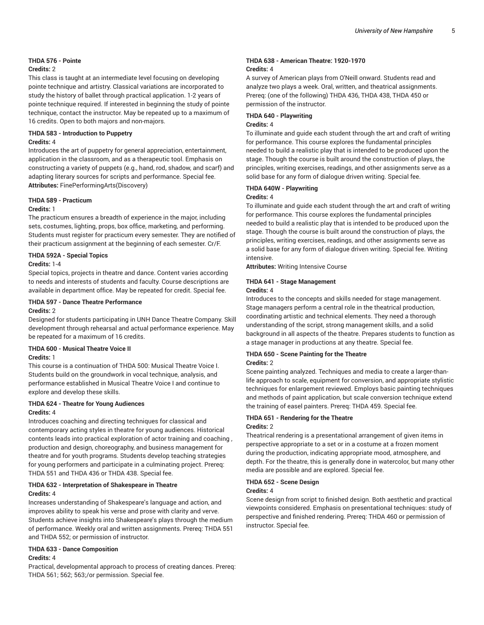### **THDA 576 - Pointe**

#### **Credits:** 2

This class is taught at an intermediate level focusing on developing pointe technique and artistry. Classical variations are incorporated to study the history of ballet through practical application. 1-2 years of pointe technique required. If interested in beginning the study of pointe technique, contact the instructor. May be repeated up to a maximum of 16 credits. Open to both majors and non-majors.

#### **THDA 583 - Introduction to Puppetry Credits:** 4

Introduces the art of puppetry for general appreciation, entertainment, application in the classroom, and as a therapeutic tool. Emphasis on constructing a variety of puppets (e.g., hand, rod, shadow, and scarf) and adapting literary sources for scripts and performance. Special fee. **Attributes:** FinePerformingArts(Discovery)

#### **THDA 589 - Practicum**

#### **Credits:** 1

The practicum ensures a breadth of experience in the major, including sets, costumes, lighting, props, box office, marketing, and performing. Students must register for practicum every semester. They are notified of their practicum assignment at the beginning of each semester. Cr/F.

#### **THDA 592A - Special Topics**

#### **Credits:** 1-4

Special topics, projects in theatre and dance. Content varies according to needs and interests of students and faculty. Course descriptions are available in department office. May be repeated for credit. Special fee.

### **THDA 597 - Dance Theatre Performance**

#### **Credits:** 2

Designed for students participating in UNH Dance Theatre Company. Skill development through rehearsal and actual performance experience. May be repeated for a maximum of 16 credits.

### **THDA 600 - Musical Theatre Voice II**

### **Credits:** 1

This course is a continuation of THDA 500: Musical Theatre Voice I. Students build on the groundwork in vocal technique, analysis, and performance established in Musical Theatre Voice I and continue to explore and develop these skills.

#### **THDA 624 - Theatre for Young Audiences Credits:** 4

Introduces coaching and directing techniques for classical and contemporary acting styles in theatre for young audiences. Historical contents leads into practical exploration of actor training and coaching , production and design, choreography, and business management for theatre and for youth programs. Students develop teaching strategies for young performers and participate in a culminating project. Prereq: THDA 551 and THDA 436 or THDA 438. Special fee.

#### **THDA 632 - Interpretation of Shakespeare in Theatre Credits:** 4

Increases understanding of Shakespeare's language and action, and improves ability to speak his verse and prose with clarity and verve. Students achieve insights into Shakespeare's plays through the medium of performance. Weekly oral and written assignments. Prereq: THDA 551 and THDA 552; or permission of instructor.

#### **THDA 633 - Dance Composition Credits:** 4

Practical, developmental approach to process of creating dances. Prereq: THDA 561; 562; 563;/or permission. Special fee.

#### **THDA 638 - American Theatre: 1920-1970 Credits:** 4

A survey of American plays from O'Neill onward. Students read and analyze two plays a week. Oral, written, and theatrical assignments. Prereq: (one of the following) THDA 436, THDA 438, THDA 450 or permission of the instructor.

#### **THDA 640 - Playwriting**

#### **Credits:** 4

To illuminate and guide each student through the art and craft of writing for performance. This course explores the fundamental principles needed to build a realistic play that is intended to be produced upon the stage. Though the course is built around the construction of plays, the principles, writing exercises, readings, and other assignments serve as a solid base for any form of dialogue driven writing. Special fee.

#### **THDA 640W - Playwriting**

#### **Credits:** 4

To illuminate and guide each student through the art and craft of writing for performance. This course explores the fundamental principles needed to build a realistic play that is intended to be produced upon the stage. Though the course is built around the construction of plays, the principles, writing exercises, readings, and other assignments serve as a solid base for any form of dialogue driven writing. Special fee. Writing intensive.

**Attributes:** Writing Intensive Course

### **THDA 641 - Stage Management**

#### **Credits:** 4

Introduces to the concepts and skills needed for stage management. Stage managers perform a central role in the theatrical production, coordinating artistic and technical elements. They need a thorough understanding of the script, strong management skills, and a solid background in all aspects of the theatre. Prepares students to function as a stage manager in productions at any theatre. Special fee.

#### **THDA 650 - Scene Painting for the Theatre Credits:** 2

Scene painting analyzed. Techniques and media to create a larger-thanlife approach to scale, equipment for conversion, and appropriate stylistic techniques for enlargement reviewed. Employs basic painting techniques and methods of paint application, but scale conversion technique extend the training of easel painters. Prereq: THDA 459. Special fee.

#### **THDA 651 - Rendering for the Theatre Credits:** 2

Theatrical rendering is a presentational arrangement of given items in perspective appropriate to a set or in a costume at a frozen moment during the production, indicating appropriate mood, atmosphere, and depth. For the theatre, this is generally done in watercolor, but many other media are possible and are explored. Special fee.

### **THDA 652 - Scene Design**

#### **Credits:** 4

Scene design from script to finished design. Both aesthetic and practical viewpoints considered. Emphasis on presentational techniques: study of perspective and finished rendering. Prereq: THDA 460 or permission of instructor. Special fee.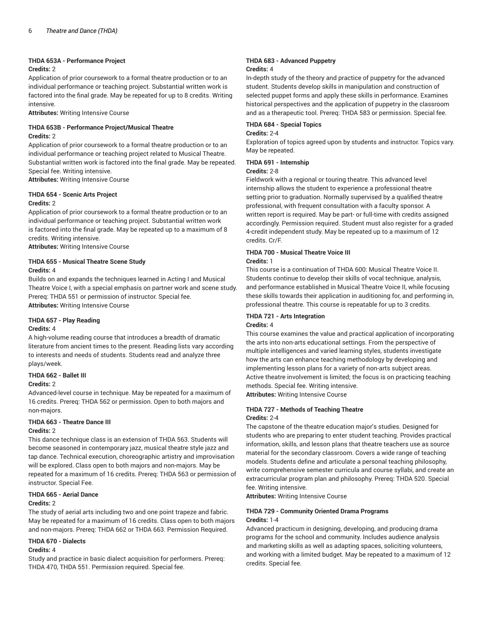#### **THDA 653A - Performance Project**

#### **Credits:** 2

Application of prior coursework to a formal theatre production or to an individual performance or teaching project. Substantial written work is factored into the final grade. May be repeated for up to 8 credits. Writing intensive.

**Attributes:** Writing Intensive Course

#### **THDA 653B - Performance Project/Musical Theatre Credits:** 2

Application of prior coursework to a formal theatre production or to an individual performance or teaching project related to Musical Theatre. Substantial written work is factored into the final grade. May be repeated. Special fee. Writing intensive.

**Attributes:** Writing Intensive Course

### **THDA 654 - Scenic Arts Project**

#### **Credits:** 2

Application of prior coursework to a formal theatre production or to an individual performance or teaching project. Substantial written work is factored into the final grade. May be repeated up to a maximum of 8 credits. Writing intensive.

**Attributes:** Writing Intensive Course

#### **THDA 655 - Musical Theatre Scene Study Credits:** 4

Builds on and expands the techniques learned in Acting I and Musical Theatre Voice I, with a special emphasis on partner work and scene study. Prereq: THDA 551 or permission of instructor. Special fee. **Attributes:** Writing Intensive Course

#### **THDA 657 - Play Reading**

#### **Credits:** 4

A high-volume reading course that introduces a breadth of dramatic literature from ancient times to the present. Reading lists vary according to interests and needs of students. Students read and analyze three plays/week.

#### **THDA 662 - Ballet III**

#### **Credits:** 2

Advanced-level course in technique. May be repeated for a maximum of 16 credits. Prereq: THDA 562 or permission. Open to both majors and non-majors.

### **THDA 663 - Theatre Dance III**

#### **Credits:** 2

This dance technique class is an extension of THDA 563. Students will become seasoned in contemporary jazz, musical theatre style jazz and tap dance. Technical execution, choreographic artistry and improvisation will be explored. Class open to both majors and non-majors. May be repeated for a maximum of 16 credits. Prereq: THDA 563 or permission of instructor. Special Fee.

#### **THDA 665 - Aerial Dance Credits:** 2

The study of aerial arts including two and one point trapeze and fabric. May be repeated for a maximum of 16 credits. Class open to both majors and non-majors. Prereq: THDA 662 or THDA 663. Permission Required.

#### **THDA 670 - Dialects**

#### **Credits:** 4

Study and practice in basic dialect acquisition for performers. Prereq: THDA 470, THDA 551. Permission required. Special fee.

#### **THDA 683 - Advanced Puppetry Credits:** 4

In-depth study of the theory and practice of puppetry for the advanced student. Students develop skills in manipulation and construction of selected puppet forms and apply these skills in performance. Examines historical perspectives and the application of puppetry in the classroom and as a therapeutic tool. Prereq: THDA 583 or permission. Special fee.

#### **THDA 684 - Special Topics**

#### **Credits:** 2-4

Exploration of topics agreed upon by students and instructor. Topics vary. May be repeated.

#### **THDA 691 - Internship**

#### **Credits:** 2-8

Fieldwork with a regional or touring theatre. This advanced level internship allows the student to experience a professional theatre setting prior to graduation. Normally supervised by a qualified theatre professional, with frequent consultation with a faculty sponsor. A written report is required. May be part- or full-time with credits assigned accordingly. Permission required. Student must also register for a graded 4-credit independent study. May be repeated up to a maximum of 12 credits. Cr/F.

#### **THDA 700 - Musical Theatre Voice III**

#### **Credits:** 1

This course is a continuation of THDA 600: Musical Theatre Voice II. Students continue to develop their skills of vocal technique, analysis, and performance established in Musical Theatre Voice II, while focusing these skills towards their application in auditioning for, and performing in, professional theatre. This course is repeatable for up to 3 credits.

### **THDA 721 - Arts Integration**

#### **Credits:** 4

This course examines the value and practical application of incorporating the arts into non-arts educational settings. From the perspective of multiple intelligences and varied learning styles, students investigate how the arts can enhance teaching methodology by developing and implementing lesson plans for a variety of non-arts subject areas. Active theatre involvement is limited; the focus is on practicing teaching methods. Special fee. Writing intensive.

**Attributes:** Writing Intensive Course

#### **THDA 727 - Methods of Teaching Theatre Credits:** 2-4

The capstone of the theatre education major's studies. Designed for students who are preparing to enter student teaching. Provides practical information, skills, and lesson plans that theatre teachers use as source material for the secondary classroom. Covers a wide range of teaching models. Students define and articulate a personal teaching philosophy, write comprehensive semester curricula and course syllabi, and create an extracurricular program plan and philosophy. Prereq: THDA 520. Special fee. Writing intensive.

**Attributes:** Writing Intensive Course

#### **THDA 729 - Community Oriented Drama Programs Credits:** 1-4

Advanced practicum in designing, developing, and producing drama programs for the school and community. Includes audience analysis and marketing skills as well as adapting spaces, soliciting volunteers, and working with a limited budget. May be repeated to a maximum of 12 credits. Special fee.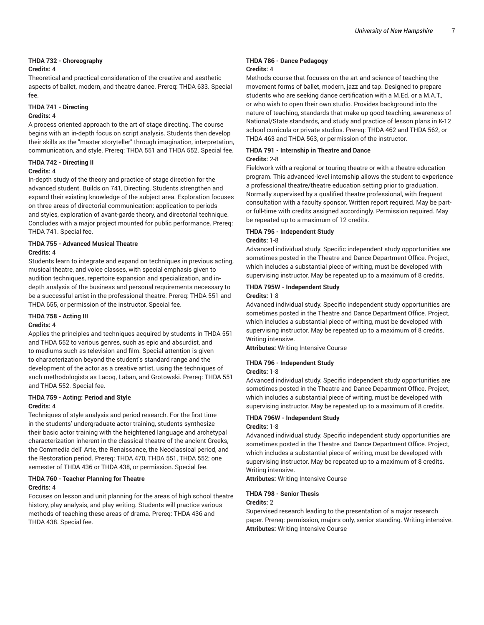#### **THDA 732 - Choreography**

#### **Credits:** 4

Theoretical and practical consideration of the creative and aesthetic aspects of ballet, modern, and theatre dance. Prereq: THDA 633. Special fee.

### **THDA 741 - Directing**

#### **Credits:** 4

A process oriented approach to the art of stage directing. The course begins with an in-depth focus on script analysis. Students then develop their skills as the "master storyteller" through imagination, interpretation, communication, and style. Prereq: THDA 551 and THDA 552. Special fee.

#### **THDA 742 - Directing II**

#### **Credits:** 4

In-depth study of the theory and practice of stage direction for the advanced student. Builds on 741, Directing. Students strengthen and expand their existing knowledge of the subject area. Exploration focuses on three areas of directorial communication: application to periods and styles, exploration of avant-garde theory, and directorial technique. Concludes with a major project mounted for public performance. Prereq: THDA 741. Special fee.

#### **THDA 755 - Advanced Musical Theatre Credits:** 4

Students learn to integrate and expand on techniques in previous acting, musical theatre, and voice classes, with special emphasis given to audition techniques, repertoire expansion and specialization, and indepth analysis of the business and personal requirements necessary to be a successful artist in the professional theatre. Prereq: THDA 551 and THDA 655, or permission of the instructor. Special fee.

#### **THDA 758 - Acting III**

#### **Credits:** 4

Applies the principles and techniques acquired by students in THDA 551 and THDA 552 to various genres, such as epic and absurdist, and to mediums such as television and film. Special attention is given to characterization beyond the student's standard range and the development of the actor as a creative artist, using the techniques of such methodologists as Lacoq, Laban, and Grotowski. Prereq: THDA 551 and THDA 552. Special fee.

#### **THDA 759 - Acting: Period and Style Credits:** 4

Techniques of style analysis and period research. For the first time in the students' undergraduate actor training, students synthesize their basic actor training with the heightened language and archetypal characterization inherent in the classical theatre of the ancient Greeks, the Commedia dell' Arte, the Renaissance, the Neoclassical period, and the Restoration period. Prereq: THDA 470, THDA 551, THDA 552; one semester of THDA 436 or THDA 438, or permission. Special fee.

#### **THDA 760 - Teacher Planning for Theatre Credits:** 4

Focuses on lesson and unit planning for the areas of high school theatre history, play analysis, and play writing. Students will practice various methods of teaching these areas of drama. Prereq: THDA 436 and THDA 438. Special fee.

#### **THDA 786 - Dance Pedagogy Credits:** 4

Methods course that focuses on the art and science of teaching the movement forms of ballet, modern, jazz and tap. Designed to prepare students who are seeking dance certification with a M.Ed. or a M.A.T., or who wish to open their own studio. Provides background into the nature of teaching, standards that make up good teaching, awareness of National/State standards, and study and practice of lesson plans in K-12 school curricula or private studios. Prereq: THDA 462 and THDA 562, or THDA 463 and THDA 563, or permission of the instructor.

### **THDA 791 - Internship in Theatre and Dance**

#### **Credits:** 2-8

Fieldwork with a regional or touring theatre or with a theatre education program. This advanced-level internship allows the student to experience a professional theatre/theatre education setting prior to graduation. Normally supervised by a qualified theatre professional, with frequent consultation with a faculty sponsor. Written report required. May be partor full-time with credits assigned accordingly. Permission required. May be repeated up to a maximum of 12 credits.

#### **THDA 795 - Independent Study Credits:** 1-8

Advanced individual study. Specific independent study opportunities are sometimes posted in the Theatre and Dance Department Office. Project, which includes a substantial piece of writing, must be developed with supervising instructor. May be repeated up to a maximum of 8 credits.

#### **THDA 795W - Independent Study**

#### **Credits:** 1-8

Advanced individual study. Specific independent study opportunities are sometimes posted in the Theatre and Dance Department Office. Project, which includes a substantial piece of writing, must be developed with supervising instructor. May be repeated up to a maximum of 8 credits. Writing intensive.

**Attributes:** Writing Intensive Course

#### **THDA 796 - Independent Study**

#### **Credits:** 1-8

Advanced individual study. Specific independent study opportunities are sometimes posted in the Theatre and Dance Department Office. Project, which includes a substantial piece of writing, must be developed with supervising instructor. May be repeated up to a maximum of 8 credits.

#### **THDA 796W - Independent Study Credits:** 1-8

Advanced individual study. Specific independent study opportunities are sometimes posted in the Theatre and Dance Department Office. Project, which includes a substantial piece of writing, must be developed with supervising instructor. May be repeated up to a maximum of 8 credits. Writing intensive.

**Attributes:** Writing Intensive Course

#### **THDA 798 - Senior Thesis**

#### **Credits:** 2

Supervised research leading to the presentation of a major research paper. Prereq: permission, majors only, senior standing. Writing intensive. **Attributes:** Writing Intensive Course